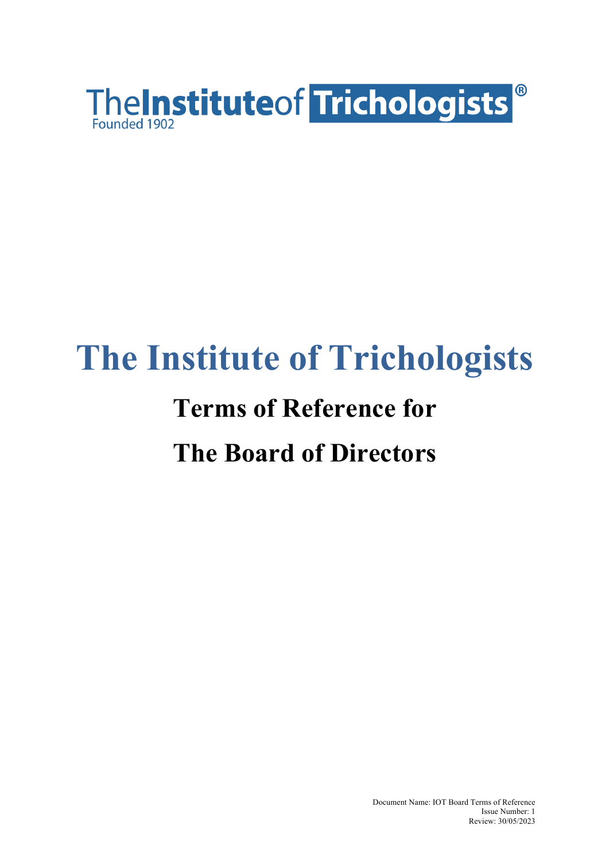

# **The Institute of Trichologists**

# **Terms of Reference for The Board of Directors**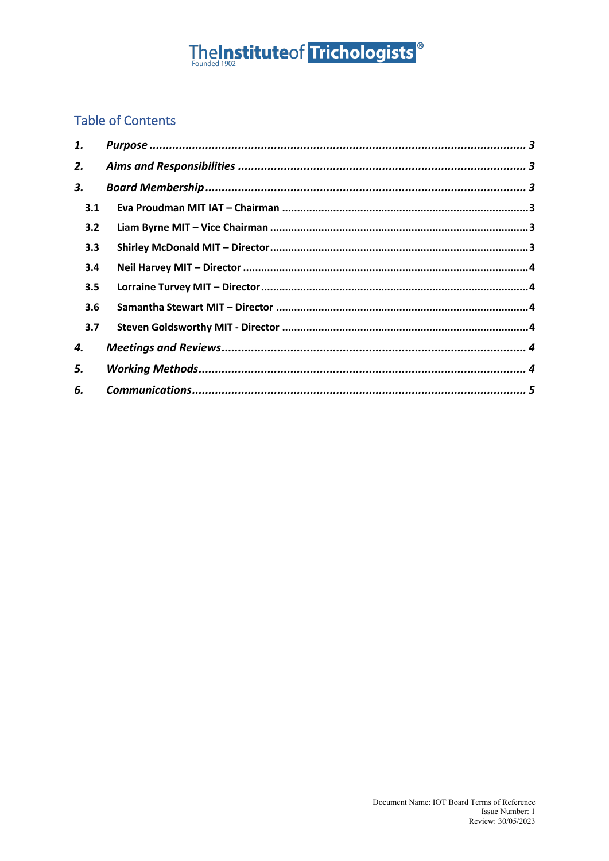# TheInstituteof Trichologists<sup>®</sup>

## **Table of Contents**

| 1.  |  |
|-----|--|
| 2.  |  |
| 3.  |  |
| 3.1 |  |
| 3.2 |  |
| 3.3 |  |
| 3.4 |  |
| 3.5 |  |
| 3.6 |  |
| 3.7 |  |
| 4.  |  |
| 5.  |  |
| 6.  |  |
|     |  |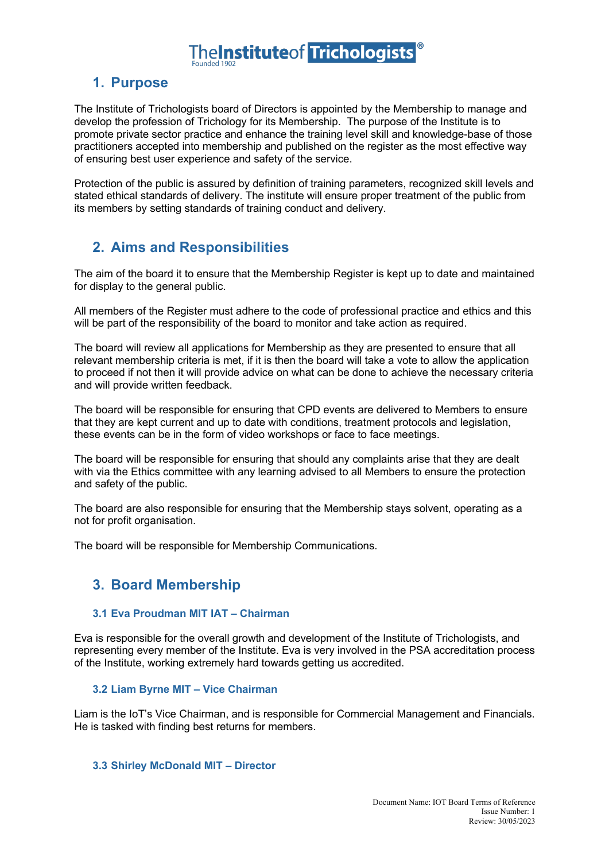# **TheInstituteof Trichologists**

## **1. Purpose**

The Institute of Trichologists board of Directors is appointed by the Membership to manage and develop the profession of Trichology for its Membership. The purpose of the Institute is to promote private sector practice and enhance the training level skill and knowledge-base of those practitioners accepted into membership and published on the register as the most effective way of ensuring best user experience and safety of the service.

Protection of the public is assured by definition of training parameters, recognized skill levels and stated ethical standards of delivery. The institute will ensure proper treatment of the public from its members by setting standards of training conduct and delivery.

## **2. Aims and Responsibilities**

The aim of the board it to ensure that the Membership Register is kept up to date and maintained for display to the general public.

All members of the Register must adhere to the code of professional practice and ethics and this will be part of the responsibility of the board to monitor and take action as required.

The board will review all applications for Membership as they are presented to ensure that all relevant membership criteria is met, if it is then the board will take a vote to allow the application to proceed if not then it will provide advice on what can be done to achieve the necessary criteria and will provide written feedback.

The board will be responsible for ensuring that CPD events are delivered to Members to ensure that they are kept current and up to date with conditions, treatment protocols and legislation, these events can be in the form of video workshops or face to face meetings.

The board will be responsible for ensuring that should any complaints arise that they are dealt with via the Ethics committee with any learning advised to all Members to ensure the protection and safety of the public.

The board are also responsible for ensuring that the Membership stays solvent, operating as a not for profit organisation.

The board will be responsible for Membership Communications.

### **3. Board Membership**

### **3.1 Eva Proudman MIT IAT – Chairman**

Eva is responsible for the overall growth and development of the Institute of Trichologists, and representing every member of the Institute. Eva is very involved in the PSA accreditation process of the Institute, working extremely hard towards getting us accredited.

### **3.2 Liam Byrne MIT – Vice Chairman**

Liam is the IoT's Vice Chairman, and is responsible for Commercial Management and Financials. He is tasked with finding best returns for members.

#### **3.3 Shirley McDonald MIT – Director**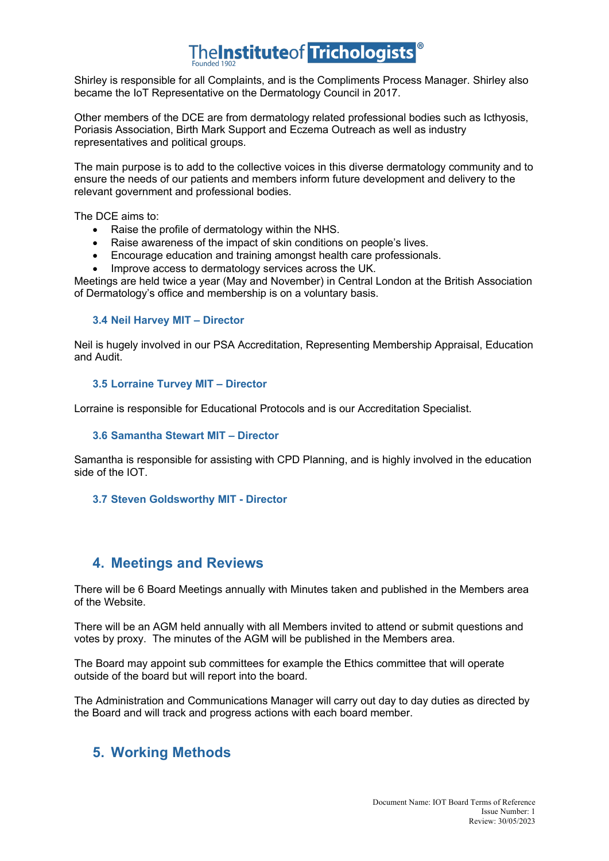# **TheInstituteof Trichologists**®

Shirley is responsible for all Complaints, and is the Compliments Process Manager. Shirley also became the IoT Representative on the Dermatology Council in 2017.

Other members of the DCE are from dermatology related professional bodies such as Icthyosis, Poriasis Association, Birth Mark Support and Eczema Outreach as well as industry representatives and political groups.

The main purpose is to add to the collective voices in this diverse dermatology community and to ensure the needs of our patients and members inform future development and delivery to the relevant government and professional bodies.

The DCE aims to:

- Raise the profile of dermatology within the NHS.
- Raise awareness of the impact of skin conditions on people's lives.
- Encourage education and training amongst health care professionals.
- Improve access to dermatology services across the UK.

Meetings are held twice a year (May and November) in Central London at the British Association of Dermatology's office and membership is on a voluntary basis.

### **3.4 Neil Harvey MIT – Director**

Neil is hugely involved in our PSA Accreditation, Representing Membership Appraisal, Education and Audit.

#### **3.5 Lorraine Turvey MIT – Director**

Lorraine is responsible for Educational Protocols and is our Accreditation Specialist.

### **3.6 Samantha Stewart MIT – Director**

Samantha is responsible for assisting with CPD Planning, and is highly involved in the education side of the IOT.

#### **3.7 Steven Goldsworthy MIT - Director**

### **4. Meetings and Reviews**

There will be 6 Board Meetings annually with Minutes taken and published in the Members area of the Website.

There will be an AGM held annually with all Members invited to attend or submit questions and votes by proxy. The minutes of the AGM will be published in the Members area.

The Board may appoint sub committees for example the Ethics committee that will operate outside of the board but will report into the board.

The Administration and Communications Manager will carry out day to day duties as directed by the Board and will track and progress actions with each board member.

### **5. Working Methods**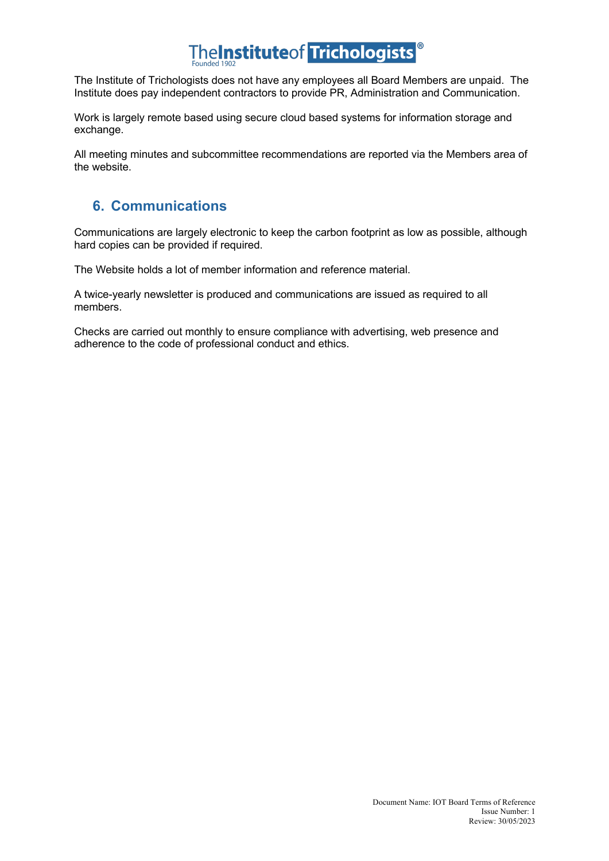# The Institute of Trichologists<sup>®</sup>

The Institute of Trichologists does not have any employees all Board Members are unpaid. The Institute does pay independent contractors to provide PR, Administration and Communication.

Work is largely remote based using secure cloud based systems for information storage and exchange.

All meeting minutes and subcommittee recommendations are reported via the Members area of the website.

## **6. Communications**

Communications are largely electronic to keep the carbon footprint as low as possible, although hard copies can be provided if required.

The Website holds a lot of member information and reference material.

A twice-yearly newsletter is produced and communications are issued as required to all members.

Checks are carried out monthly to ensure compliance with advertising, web presence and adherence to the code of professional conduct and ethics.